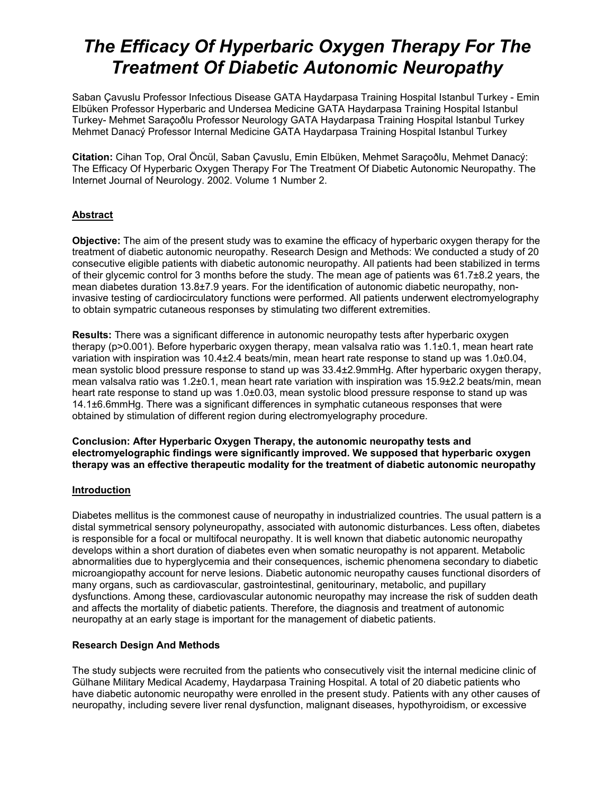# *The Efficacy Of Hyperbaric Oxygen Therapy For The Treatment Of Diabetic Autonomic Neuropathy*

Saban Çavuslu Professor Infectious Disease GATA Haydarpasa Training Hospital Istanbul Turkey - Emin Elbüken Professor Hyperbaric and Undersea Medicine GATA Haydarpasa Training Hospital Istanbul Turkey- Mehmet Saraçoðlu Professor Neurology GATA Haydarpasa Training Hospital Istanbul Turkey Mehmet Danacý Professor Internal Medicine GATA Haydarpasa Training Hospital Istanbul Turkey

**Citation:** Cihan Top, Oral Öncül, Saban Çavuslu, Emin Elbüken, Mehmet Saraçoðlu, Mehmet Danacý: The Efficacy Of Hyperbaric Oxygen Therapy For The Treatment Of Diabetic Autonomic Neuropathy. The Internet Journal of Neurology. 2002. Volume 1 Number 2.

# **Abstract**

**Objective:** The aim of the present study was to examine the efficacy of hyperbaric oxygen therapy for the treatment of diabetic autonomic neuropathy. Research Design and Methods: We conducted a study of 20 consecutive eligible patients with diabetic autonomic neuropathy. All patients had been stabilized in terms of their glycemic control for 3 months before the study. The mean age of patients was 61.7±8.2 years, the mean diabetes duration 13.8±7.9 years. For the identification of autonomic diabetic neuropathy, noninvasive testing of cardiocirculatory functions were performed. All patients underwent electromyelography to obtain sympatric cutaneous responses by stimulating two different extremities.

**Results:** There was a significant difference in autonomic neuropathy tests after hyperbaric oxygen therapy (p>0.001). Before hyperbaric oxygen therapy, mean valsalva ratio was 1.1±0.1, mean heart rate variation with inspiration was 10.4±2.4 beats/min, mean heart rate response to stand up was 1.0±0.04, mean systolic blood pressure response to stand up was 33.4±2.9mmHg. After hyperbaric oxygen therapy, mean valsalva ratio was 1.2±0.1, mean heart rate variation with inspiration was 15.9±2.2 beats/min, mean heart rate response to stand up was 1.0±0.03, mean systolic blood pressure response to stand up was 14.1±6.6mmHg. There was a significant differences in symphatic cutaneous responses that were obtained by stimulation of different region during electromyelography procedure.

**Conclusion: After Hyperbaric Oxygen Therapy, the autonomic neuropathy tests and electromyelographic findings were significantly improved. We supposed that hyperbaric oxygen therapy was an effective therapeutic modality for the treatment of diabetic autonomic neuropathy**

## **Introduction**

Diabetes mellitus is the commonest cause of neuropathy in industrialized countries. The usual pattern is a distal symmetrical sensory polyneuropathy, associated with autonomic disturbances. Less often, diabetes is responsible for a focal or multifocal neuropathy. It is well known that diabetic autonomic neuropathy develops within a short duration of diabetes even when somatic neuropathy is not apparent. Metabolic abnormalities due to hyperglycemia and their consequences, ischemic phenomena secondary to diabetic microangiopathy account for nerve lesions. Diabetic autonomic neuropathy causes functional disorders of many organs, such as cardiovascular, gastrointestinal, genitourinary, metabolic, and pupillary dysfunctions. Among these, cardiovascular autonomic neuropathy may increase the risk of sudden death and affects the mortality of diabetic patients. Therefore, the diagnosis and treatment of autonomic neuropathy at an early stage is important for the management of diabetic patients.

## **Research Design And Methods**

The study subjects were recruited from the patients who consecutively visit the internal medicine clinic of Gülhane Military Medical Academy, Haydarpasa Training Hospital. A total of 20 diabetic patients who have diabetic autonomic neuropathy were enrolled in the present study. Patients with any other causes of neuropathy, including severe liver renal dysfunction, malignant diseases, hypothyroidism, or excessive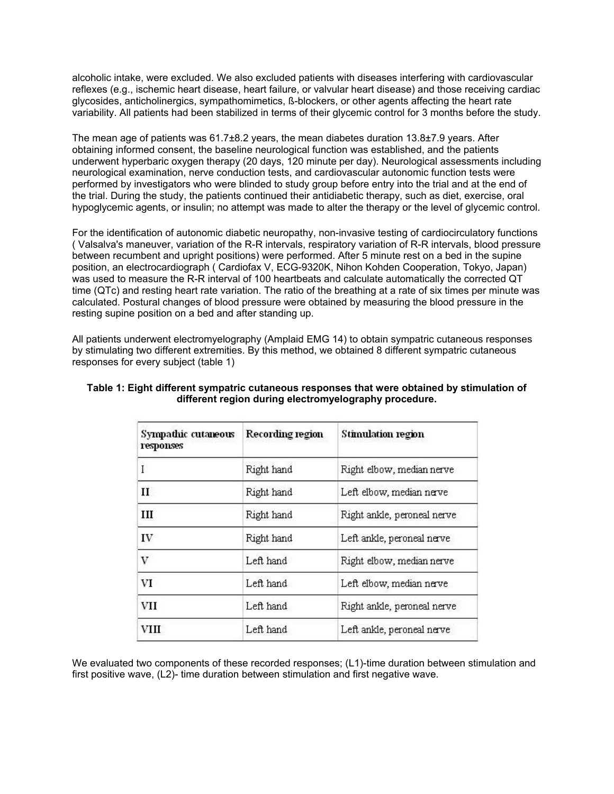alcoholic intake, were excluded. We also excluded patients with diseases interfering with cardiovascular reflexes (e.g., ischemic heart disease, heart failure, or valvular heart disease) and those receiving cardiac glycosides, anticholinergics, sympathomimetics, ß-blockers, or other agents affecting the heart rate variability. All patients had been stabilized in terms of their glycemic control for 3 months before the study.

The mean age of patients was 61.7±8.2 years, the mean diabetes duration 13.8±7.9 years. After obtaining informed consent, the baseline neurological function was established, and the patients underwent hyperbaric oxygen therapy (20 days, 120 minute per day). Neurological assessments including neurological examination, nerve conduction tests, and cardiovascular autonomic function tests were performed by investigators who were blinded to study group before entry into the trial and at the end of the trial. During the study, the patients continued their antidiabetic therapy, such as diet, exercise, oral hypoglycemic agents, or insulin; no attempt was made to alter the therapy or the level of glycemic control.

For the identification of autonomic diabetic neuropathy, non-invasive testing of cardiocirculatory functions ( Valsalva's maneuver, variation of the R-R intervals, respiratory variation of R-R intervals, blood pressure between recumbent and upright positions) were performed. After 5 minute rest on a bed in the supine position, an electrocardiograph ( Cardiofax V, ECG-9320K, Nihon Kohden Cooperation, Tokyo, Japan) was used to measure the R-R interval of 100 heartbeats and calculate automatically the corrected QT time (QTc) and resting heart rate variation. The ratio of the breathing at a rate of six times per minute was calculated. Postural changes of blood pressure were obtained by measuring the blood pressure in the resting supine position on a bed and after standing up.

All patients underwent electromyelography (Amplaid EMG 14) to obtain sympatric cutaneous responses by stimulating two different extremities. By this method, we obtained 8 different sympatric cutaneous responses for every subject (table 1)

| Sympathic cutaneous<br>responses | Recording region | Stimulation region          |
|----------------------------------|------------------|-----------------------------|
| I                                | Right hand       | Right elbow, median nerve   |
| $\mathbf{I}$                     | Right hand       | Left elbow, median nerve    |
| Ш                                | Right hand       | Right ankle, peroneal nerve |
| IV                               | Right hand       | Left ankle, peroneal nerve  |
| v                                | Left hand        | Right elbow, median nerve   |
| VI                               | Left hand        | Left elbow, median nerve    |
| VII                              | Left hand        | Right ankle, peroneal nerve |
| VHL                              | Left hand        | Left ankle, peroneal nerve  |

# **Table 1: Eight different sympatric cutaneous responses that were obtained by stimulation of different region during electromyelography procedure.**

We evaluated two components of these recorded responses; (L1)-time duration between stimulation and first positive wave, (L2)- time duration between stimulation and first negative wave.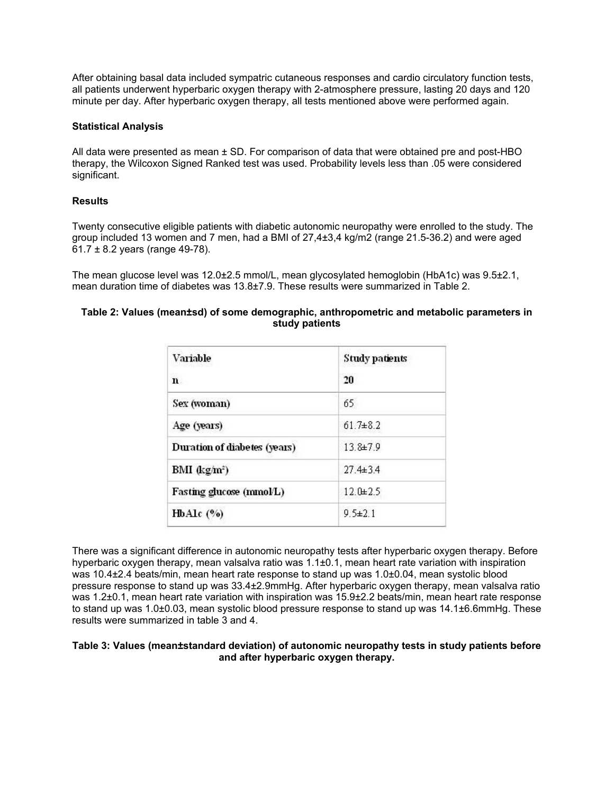After obtaining basal data included sympatric cutaneous responses and cardio circulatory function tests, all patients underwent hyperbaric oxygen therapy with 2-atmosphere pressure, lasting 20 days and 120 minute per day. After hyperbaric oxygen therapy, all tests mentioned above were performed again.

## **Statistical Analysis**

All data were presented as mean  $\pm$  SD. For comparison of data that were obtained pre and post-HBO therapy, the Wilcoxon Signed Ranked test was used. Probability levels less than .05 were considered significant.

## **Results**

Twenty consecutive eligible patients with diabetic autonomic neuropathy were enrolled to the study. The group included 13 women and 7 men, had a BMI of 27,4±3,4 kg/m2 (range 21.5-36.2) and were aged  $61.7 \pm 8.2$  years (range 49-78).

The mean glucose level was 12.0±2.5 mmol/L, mean glycosylated hemoglobin (HbA1c) was 9.5±2.1, mean duration time of diabetes was 13.8±7.9. These results were summarized in Table 2.

#### **Table 2: Values (mean±sd) of some demographic, anthropometric and metabolic parameters in study patients**

| Variable                     | <b>Study patients</b> |
|------------------------------|-----------------------|
| n.                           | 20                    |
| Sex (woman)                  | 65                    |
| Age (years)                  | $61.7 + 8.2$          |
| Duration of diabetes (years) | 13.8±7.9              |
| BMI $(\text{kg/m}^2)$        | $27.4 \pm 3.4$        |
| Fasting glucose (mmol/L)     | $12.0 + 2.5$          |
| HbAlc (%)                    | $9.5 \pm 2.1$         |

There was a significant difference in autonomic neuropathy tests after hyperbaric oxygen therapy. Before hyperbaric oxygen therapy, mean valsalva ratio was 1.1±0.1, mean heart rate variation with inspiration was 10.4±2.4 beats/min, mean heart rate response to stand up was 1.0±0.04, mean systolic blood pressure response to stand up was 33.4±2.9mmHg. After hyperbaric oxygen therapy, mean valsalva ratio was 1.2±0.1, mean heart rate variation with inspiration was 15.9±2.2 beats/min, mean heart rate response to stand up was 1.0±0.03, mean systolic blood pressure response to stand up was 14.1±6.6mmHg. These results were summarized in table 3 and 4.

#### **Table 3: Values (mean±standard deviation) of autonomic neuropathy tests in study patients before and after hyperbaric oxygen therapy.**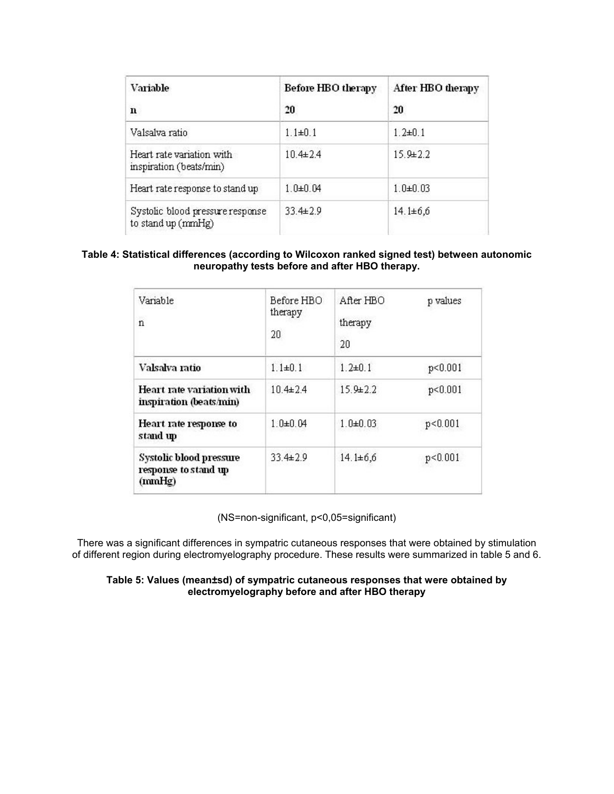| Variable                                               | <b>Before HBO therapy</b> | After HBO therapy |
|--------------------------------------------------------|---------------------------|-------------------|
| n                                                      | 20                        | 20                |
| Valsalva ratio                                         | $1.1 \pm 0.1$             | $1.2 \pm 0.1$     |
| Heart rate variation with<br>inspiration (beats/min)   | $10.4 \pm 2.4$            | $15.9 + 2.2$      |
| Heart rate response to stand up                        | $1.0 + 0.04$              | $1.0 + 0.03$      |
| Systolic blood pressure response<br>to stand up (mmHg) | $33.4 \pm 2.9$            | $14.1 \pm 6.6$    |

## **Table 4: Statistical differences (according to Wilcoxon ranked signed test) between autonomic neuropathy tests before and after HBO therapy.**

| Variable<br>38<br>$\mathbf n$                             | Before HBO<br>therapy<br>20 | After HBO<br>therapy<br>20 | p values  |
|-----------------------------------------------------------|-----------------------------|----------------------------|-----------|
| Valsalva ratio                                            | $1.1 \pm 0.1$               | $1.2 + 0.1$                | p<0.001   |
| Heart rate variation with<br>inspiration (beats/min)      | $10.4\pm 2.4$               | $15.9 + 2.2$               | p < 0.001 |
| Heart rate response to<br>stand up                        | $1.0 + 0.04$                | $1.0 + 0.03$               | p < 0.001 |
| Systolic blood pressure<br>response to stand up<br>(mmHg) | $33.4 \pm 2.9$              | $14.1 \pm 6.6$             | p < 0.001 |

(NS=non-significant, p<0,05=significant)

There was a significant differences in sympatric cutaneous responses that were obtained by stimulation of different region during electromyelography procedure. These results were summarized in table 5 and 6.

## **Table 5: Values (mean±sd) of sympatric cutaneous responses that were obtained by electromyelography before and after HBO therapy**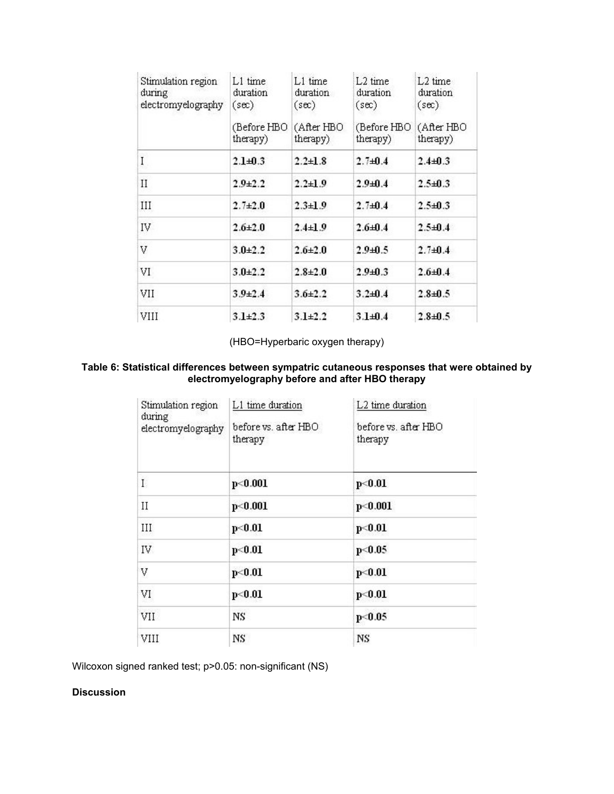| Stimulation region<br>during<br>electromyelography | $L1$ time<br>duration<br>$(\sec)$ | L1 time<br>duration<br>$(\sec)$ | $L2$ time<br>duration<br>$(\sec)$ | L <sub>2</sub> time<br>duration<br>$(\sec)$ |
|----------------------------------------------------|-----------------------------------|---------------------------------|-----------------------------------|---------------------------------------------|
|                                                    | (Before HBO)<br>therapy)          | (After HBO<br>therapy)          | (Before HBO<br>therapy)           | (After HBO<br>therapy)                      |
| I                                                  | $2.1 + 0.3$                       | $2.2 \pm 1.8$                   | $2.7 + 0.4$                       | $2.4 + 0.3$                                 |
| $_{II}$                                            | $2.9 + 2.2$                       | $2.2 + 1.9$                     | $2.9 + 0.4$                       | $2.5 + 0.3$                                 |
| III                                                | $2.7 + 2.0$                       | $2.3 \pm 1.9$                   | $2.7 + 0.4$                       | $2.5 + 0.3$                                 |
| IV                                                 | $2.6 + 2.0$                       | $2.4 \pm 1.9$                   | $2.6 + 0.4$                       | $2.5 + 0.4$                                 |
| V                                                  | $3.0 + 2.2$                       | $2.6 + 2.0$                     | $2.9 + 0.5$                       | $2.7 + 0.4$                                 |
| VI                                                 | $3.0 + 2.2$                       | $2.8 + 2.0$                     | $2.9 + 0.3$                       | $2.6 + 0.4$                                 |
| VII                                                | $3.9{\pm}2.4$                     | $3.6 \pm 2.2$                   | $3.2 + 0.4$                       | $2.8 + 0.5$                                 |
| VIII                                               | $3.1 \pm 2.3$                     | $3.1 + 2.2$                     | $3.1 + 0.4$                       | $2.8 + 0.5$                                 |

(HBO=Hyperbaric oxygen therapy)

#### **Table 6: Statistical differences between sympatric cutaneous responses that were obtained by electromyelography before and after HBO therapy**

| Stimulation region<br>during<br>electromyelography | L1 time duration<br>before vs. after HBO<br>therapy | L2 time duration<br>before vs. after HBO<br>therapy |
|----------------------------------------------------|-----------------------------------------------------|-----------------------------------------------------|
| L                                                  | p<0.001                                             | p<0.01                                              |
| $\rm II$                                           | p<0.001                                             | p<0.001                                             |
| III                                                | p<0.01                                              | p<0.01                                              |
| IV                                                 | p<0.01                                              | p<0.05                                              |
| V                                                  | p<0.01                                              | p<0.01                                              |
| VI                                                 | p<0.01                                              | p<0.01                                              |
| VII                                                | NS                                                  | p<0.05                                              |
| VIII                                               | NS                                                  | NS                                                  |

Wilcoxon signed ranked test; p>0.05: non-significant (NS)

# **Discussion**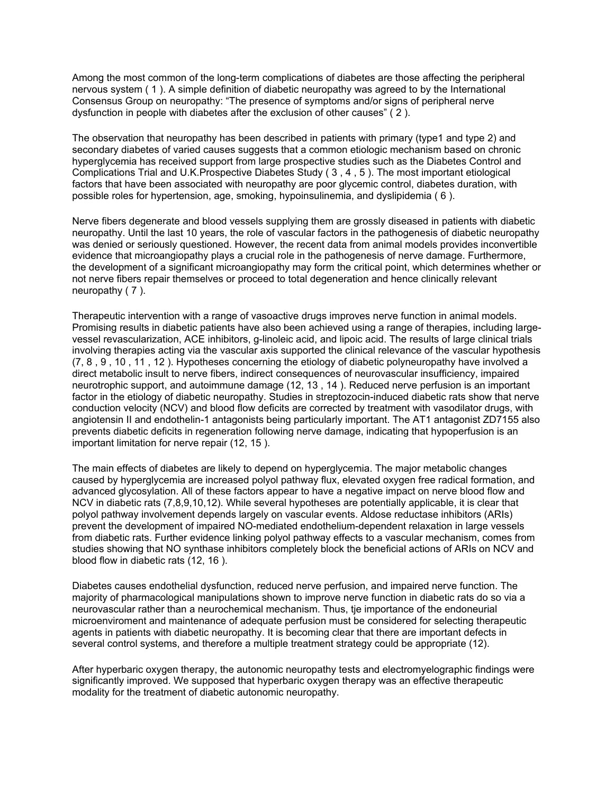Among the most common of the long-term complications of diabetes are those affecting the peripheral nervous system ( 1 ). A simple definition of diabetic neuropathy was agreed to by the International Consensus Group on neuropathy: "The presence of symptoms and/or signs of peripheral nerve dysfunction in people with diabetes after the exclusion of other causes" ( 2 ).

The observation that neuropathy has been described in patients with primary (type1 and type 2) and secondary diabetes of varied causes suggests that a common etiologic mechanism based on chronic hyperglycemia has received support from large prospective studies such as the Diabetes Control and Complications Trial and U.K.Prospective Diabetes Study ( 3 , 4 , 5 ). The most important etiological factors that have been associated with neuropathy are poor glycemic control, diabetes duration, with possible roles for hypertension, age, smoking, hypoinsulinemia, and dyslipidemia ( 6 ).

Nerve fibers degenerate and blood vessels supplying them are grossly diseased in patients with diabetic neuropathy. Until the last 10 years, the role of vascular factors in the pathogenesis of diabetic neuropathy was denied or seriously questioned. However, the recent data from animal models provides inconvertible evidence that microangiopathy plays a crucial role in the pathogenesis of nerve damage. Furthermore, the development of a significant microangiopathy may form the critical point, which determines whether or not nerve fibers repair themselves or proceed to total degeneration and hence clinically relevant neuropathy ( 7 ).

Therapeutic intervention with a range of vasoactive drugs improves nerve function in animal models. Promising results in diabetic patients have also been achieved using a range of therapies, including largevessel revascularization, ACE inhibitors, g-linoleic acid, and lipoic acid. The results of large clinical trials involving therapies acting via the vascular axis supported the clinical relevance of the vascular hypothesis (7, 8 , 9 , 10 , 11 , 12 ). Hypotheses concerning the etiology of diabetic polyneuropathy have involved a direct metabolic insult to nerve fibers, indirect consequences of neurovascular insufficiency, impaired neurotrophic support, and autoimmune damage (12, 13 , 14 ). Reduced nerve perfusion is an important factor in the etiology of diabetic neuropathy. Studies in streptozocin-induced diabetic rats show that nerve conduction velocity (NCV) and blood flow deficits are corrected by treatment with vasodilator drugs, with angiotensin II and endothelin-1 antagonists being particularly important. The AT1 antagonist ZD7155 also prevents diabetic deficits in regeneration following nerve damage, indicating that hypoperfusion is an important limitation for nerve repair (12, 15 ).

The main effects of diabetes are likely to depend on hyperglycemia. The major metabolic changes caused by hyperglycemia are increased polyol pathway flux, elevated oxygen free radical formation, and advanced glycosylation. All of these factors appear to have a negative impact on nerve blood flow and NCV in diabetic rats (7,8,9,10,12). While several hypotheses are potentially applicable, it is clear that polyol pathway involvement depends largely on vascular events. Aldose reductase inhibitors (ARIs) prevent the development of impaired NO-mediated endothelium-dependent relaxation in large vessels from diabetic rats. Further evidence linking polyol pathway effects to a vascular mechanism, comes from studies showing that NO synthase inhibitors completely block the beneficial actions of ARIs on NCV and blood flow in diabetic rats (12, 16 ).

Diabetes causes endothelial dysfunction, reduced nerve perfusion, and impaired nerve function. The majority of pharmacological manipulations shown to improve nerve function in diabetic rats do so via a neurovascular rather than a neurochemical mechanism. Thus, tje importance of the endoneurial microenviroment and maintenance of adequate perfusion must be considered for selecting therapeutic agents in patients with diabetic neuropathy. It is becoming clear that there are important defects in several control systems, and therefore a multiple treatment strategy could be appropriate (12).

After hyperbaric oxygen therapy, the autonomic neuropathy tests and electromyelographic findings were significantly improved. We supposed that hyperbaric oxygen therapy was an effective therapeutic modality for the treatment of diabetic autonomic neuropathy.